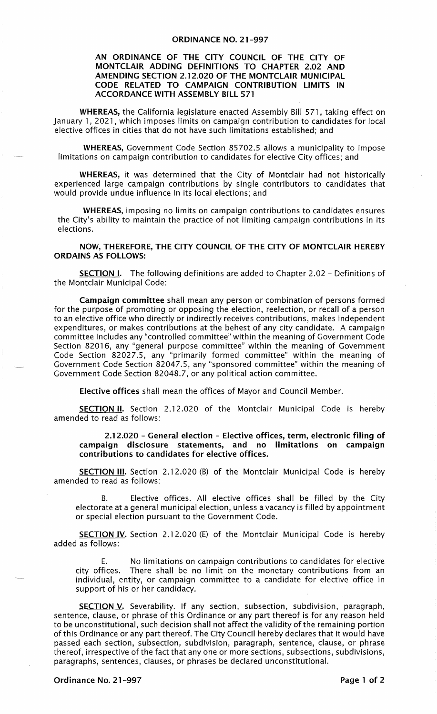## AN ORDINANCE OF THE CITY COUNCIL OF THE CITY OF MONTCLAIR ADDING DEFINITIONS TO CHAPTER 2.02 AND AMENDING SECTION 2.12.020 OF THE MONTCLAIR MUNICIPAL CODE RELATED TO CAMPAIGN CONTRIBUTION LIMITS IN ACCORDANCE WITH ASSEMBLY BILL 571

WHEREAS, the California legislature enacted Assembly Bill 571, taking effect on January 1, 2021, which imposes limits on campaign contribution to candidates for local elective offices in cities that do not have such limitations established; and

WHEREAS, Government Code Section 85702.5 allows a municipality to impose limitations on campaign contribution to candidates for elective City offices; and

WHEREAS, it was determined that the City of Montclair had not historically experienced large campaign contributions by single contributors to candidates that would provide undue influence in its local elections; and

WHEREAS, imposing no limits on campaign contributions to candidates ensures the City's ability to maintain the practice of not limiting campaign contributions in its elections.

NOW, THEREFORE, THE CITY COUNCIL OF THE CITY OF MONTCLAIR HEREBY ORDAINS AS FOLLOWS:

**SECTION I.** The following definitions are added to Chapter 2.02 - Definitions of the Montclair Municipal Code:

Campaign committee shall mean any person or combination of persons formed for the purpose of promoting or opposing the election, reelection, or recall of a person to an elective office who directly or indirectly receives contributions, makes independent expenditures, or makes contributions at the behest of any city candidate. A campaign committee includes any "controlled committee" within the meaning of Government Code Section 82016, any "general purpose committee" within the meaning of Government Code Section 82027.5, any "primarily formed committee" within the meaning of Government Code Section 82047.5, any "sponsored committee" within the meaning of Government Code Section 82048.7, or any political action committee.

Elective offices shall mean the offices of Mayor and Council Member.

SECTION II. Section 2.12.020 of the Montclair Municipal Code is hereby amended to read as follows:

2.12.020 - General election - Elective offices, term, electronic filing of campaign disclosure statements, and no limitations on campaign contributions to candidates for elective offices.

SECTION III. Section 2.12.020 (B) of the Montclair Municipal Code is hereby amended to read as follows:

B. Elective offices. All elective offices shall be filled by the City electorate at a general municipal election, unless a vacancy is filled by appointment or special election pursuant to the Government Code.

SECTION IV. Section 2.12.020 (E) of the Montclair Municipal Code is hereby added as follows:

E. No limitations on campaign contributions to candidates for elective<br>city offices. There shall be no limit on the monetary contributions from an There shall be no limit on the monetary contributions from an individual, entity, or campaign committee to a candidate for elective office in support of his or her candidacy.

SECTION V. Severability. If any section, subsection, subdivision, paragraph, sentence, clause, or phrase of this Ordinance or any part thereof is for any reason held to be unconstitutional, such decision shall not affect the validity of the remaining portion of this Ordinance or any part thereof. The City Council hereby declares that it would have passed each section, subsection, subdivision, paragraph, sentence, clause, or phrase thereof, irrespective of the fact that any one or more sections, subsections, subdivisions, paragraphs, sentences, clauses, or phrases be declared unconstitutional.